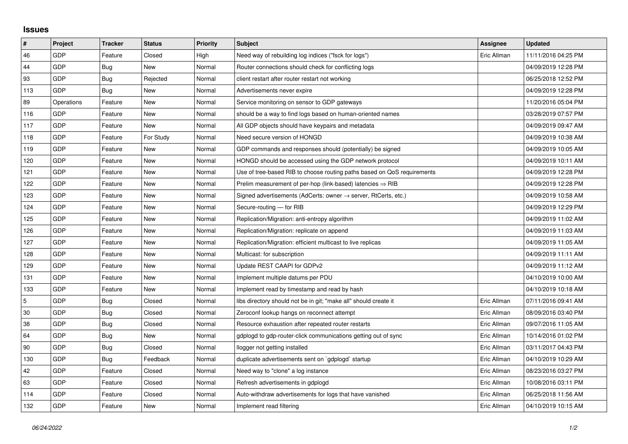## **Issues**

| #   | Project    | <b>Tracker</b> | <b>Status</b> | <b>Priority</b> | <b>Subject</b>                                                          | <b>Assignee</b> | <b>Updated</b>      |
|-----|------------|----------------|---------------|-----------------|-------------------------------------------------------------------------|-----------------|---------------------|
| 46  | GDP        | Feature        | Closed        | High            | Need way of rebuilding log indices ("fsck for logs")                    | Eric Allman     | 11/11/2016 04:25 PM |
| 44  | GDP        | Bug            | New           | Normal          | Router connections should check for conflicting logs                    |                 | 04/09/2019 12:28 PM |
| 93  | GDP        | Bug            | Rejected      | Normal          | client restart after router restart not working                         |                 | 06/25/2018 12:52 PM |
| 113 | GDP        | <b>Bug</b>     | <b>New</b>    | Normal          | Advertisements never expire                                             |                 | 04/09/2019 12:28 PM |
| 89  | Operations | Feature        | New           | Normal          | Service monitoring on sensor to GDP gateways                            |                 | 11/20/2016 05:04 PM |
| 116 | GDP        | Feature        | New           | Normal          | should be a way to find logs based on human-oriented names              |                 | 03/28/2019 07:57 PM |
| 117 | GDP        | Feature        | <b>New</b>    | Normal          | All GDP objects should have keypairs and metadata                       |                 | 04/09/2019 09:47 AM |
| 118 | GDP        | Feature        | For Study     | Normal          | Need secure version of HONGD                                            |                 | 04/09/2019 10:38 AM |
| 119 | GDP        | Feature        | <b>New</b>    | Normal          | GDP commands and responses should (potentially) be signed               |                 | 04/09/2019 10:05 AM |
| 120 | GDP        | Feature        | New           | Normal          | HONGD should be accessed using the GDP network protocol                 |                 | 04/09/2019 10:11 AM |
| 121 | GDP        | Feature        | New           | Normal          | Use of tree-based RIB to choose routing paths based on QoS requirements |                 | 04/09/2019 12:28 PM |
| 122 | GDP        | Feature        | New           | Normal          | Prelim measurement of per-hop (link-based) latencies $\Rightarrow$ RIB  |                 | 04/09/2019 12:28 PM |
| 123 | GDP        | Feature        | New           | Normal          | Signed advertisements (AdCerts: owner → server, RtCerts, etc.)          |                 | 04/09/2019 10:58 AM |
| 124 | GDP        | Feature        | New           | Normal          | Secure-routing - for RIB                                                |                 | 04/09/2019 12:29 PM |
| 125 | GDP        | Feature        | <b>New</b>    | Normal          | Replication/Migration: anti-entropy algorithm                           |                 | 04/09/2019 11:02 AM |
| 126 | GDP        | Feature        | New           | Normal          | Replication/Migration: replicate on append                              |                 | 04/09/2019 11:03 AM |
| 127 | GDP        | Feature        | New           | Normal          | Replication/Migration: efficient multicast to live replicas             |                 | 04/09/2019 11:05 AM |
| 128 | GDP        | Feature        | New           | Normal          | Multicast: for subscription                                             |                 | 04/09/2019 11:11 AM |
| 129 | GDP        | Feature        | New           | Normal          | Update REST CAAPI for GDPv2                                             |                 | 04/09/2019 11:12 AM |
| 131 | GDP        | Feature        | New           | Normal          | Implement multiple datums per PDU                                       |                 | 04/10/2019 10:00 AM |
| 133 | GDP        | Feature        | New           | Normal          | Implement read by timestamp and read by hash                            |                 | 04/10/2019 10:18 AM |
| 5   | GDP        | Bug            | Closed        | Normal          | libs directory should not be in git; "make all" should create it        | Eric Allman     | 07/11/2016 09:41 AM |
| 30  | GDP        | Bug            | Closed        | Normal          | Zeroconf lookup hangs on reconnect attempt                              | Eric Allman     | 08/09/2016 03:40 PM |
| 38  | GDP        | Bug            | Closed        | Normal          | Resource exhaustion after repeated router restarts                      | Eric Allman     | 09/07/2016 11:05 AM |
| 64  | GDP        | <b>Bug</b>     | New           | Normal          | gdplogd to gdp-router-click communications getting out of sync          | Eric Allman     | 10/14/2016 01:02 PM |
| 90  | GDP        | Bug            | Closed        | Normal          | llogger not getting installed                                           | Eric Allman     | 03/11/2017 04:43 PM |
| 130 | GDP        | Bug            | Feedback      | Normal          | duplicate advertisements sent on `gdplogd` startup                      | Eric Allman     | 04/10/2019 10:29 AM |
| 42  | GDP        | Feature        | Closed        | Normal          | Need way to "clone" a log instance                                      | Eric Allman     | 08/23/2016 03:27 PM |
| 63  | GDP        | Feature        | Closed        | Normal          | Refresh advertisements in gdplogd                                       | Eric Allman     | 10/08/2016 03:11 PM |
| 114 | GDP        | Feature        | Closed        | Normal          | Auto-withdraw advertisements for logs that have vanished                | Eric Allman     | 06/25/2018 11:56 AM |
| 132 | GDP        | Feature        | New           | Normal          | Implement read filtering                                                | Eric Allman     | 04/10/2019 10:15 AM |